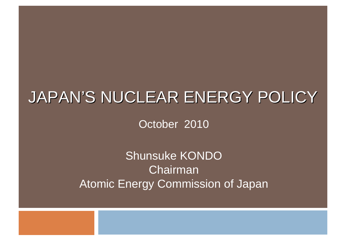### JAPAN'S NUCLEAR ENERGY POLICY

October 2010

Shunsuke KONDO ChairmanAtomic Energy Commission of Japan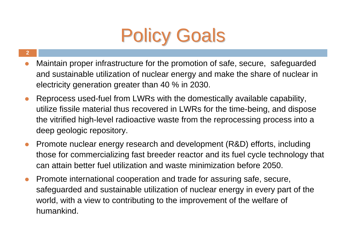

- **2**
- $\bullet$  Maintain proper infrastructure for the promotion of safe, secure, safeguarded and sustainable utilization of nuclear energy and make the share of nuclear in electricity generation greater than 40 % in 2030.
- $\bullet$  Reprocess used-fuel from LWRs with the domestically available capability, utilize fissile material thus recovered in LWRs for the time-being, and dispose the vitrified high-level radioactive waste from the reprocessing process into a deep geologic repository.
- $\bullet$  Promote nuclear energy research and development (R&D) efforts, including those for commercializing fast breeder reactor and its fuel cycle technology that can attain better fuel utilization and waste minimization before 2050.
- $\bullet$  Promote international cooperation and trade for assuring safe, secure, safeguarded and sustainable utilization of nuclear energy in every part of the world, with a view to contributing to the improvement of the welfare of humankind.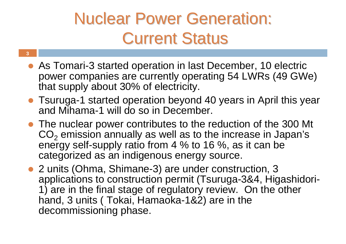## **Nuclear Power Generation: Current Status**

• As Tomari-3 started operation in last December, 10 electric power companies are currently operating 54 LWRs (49 GWe) that supply about 30% of electricity.

- Tsuruga-1 started operation beyond 40 years in April this year and Mihama-1 will do so in December.
- The nuclear power contributes to the reduction of the 300 Mt  $\mathsf{CO}_2$  emission annually as well as to the increase in Japan's energy self-supply ratio from 4 % to 16 %, as it can be categorized as an indigenous energy source.
- 2 units (Ohma, Shimane-3) are under construction, 3 applications to construction permit (Tsuruga-3&4, Higashidori-1) are in the final stage of regulatory review. On the other hand, 3 units ( Tokai, Hamaoka-1&2) are in the decommissioning phase.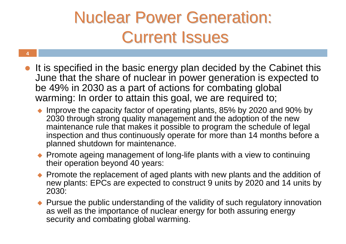## **Nuclear Power Generation: Current Issues**

- It is specified in the basic energy plan decided by the Cabinet this June that the share of nuclear in power generation is expected to be 49% in 2030 as a part of actions for combating global warming: In order to attain this goal, we are required to;
	- Improve the capacity factor of operating plants, 85% by 2020 and 90% by 2030 through strong quality management and the adoption of the new maintenance rule that makes it possible to program the schedule of legal inspection and thus continuously operate for more than 14 months before a planned shutdown for maintenance.
	- ◆ Promote ageing management of long-life plants with a view to continuing their operation beyond 40 years:
	- $\blacklozenge$  Promote the replacement of aged plants with new plants and the addition of new plants: EPCs are expected to construct 9 units by 2020 and 14 units by 2030:
	- $\blacklozenge$  Pursue the public understanding of the validity of such regulatory innovation as well as the importance of nuclear energy for both assuring energy security and combating global warming.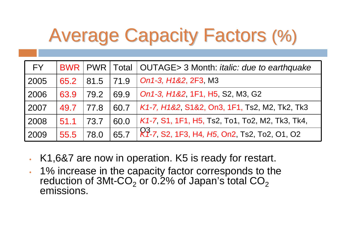# Average Capacity Factors (%)

| FY.  |           |           |      | BWR   PWR   Total   OUTAGE> 3 Month: <i>italic: due to earthquake</i> |
|------|-----------|-----------|------|-----------------------------------------------------------------------|
| 2005 | 65.2      | 81.5 71.9 |      | $\vert$ On1-3, H1&2, 2F3, M3                                          |
| 2006 | 63.9      | 79.2      | 69.9 | On1-3, H1&2, 1F1, H5, S2, M3, G2                                      |
| 2007 | 49.7 77.8 |           | 60.7 | $K1$ -7, $H182$ , S182, On3, 1F1, Ts2, M2, Tk2, Tk3                   |
| 2008 | 51.1      | 73.7      | 60.0 | $K1$ -7, S1, 1F1, H5, Ts2, To1, To2, M2, Tk3, Tk4,                    |
| 2009 | 55.5      | 78.0      |      | 65.7 X 7-7, S2, 1F3, H4, H5, On2, Ts2, To2, O1, O2                    |

- •K1,6&7 are now in operation. K5 is ready for restart.
- • 1% increase in the capacity factor corresponds to the reduction of 3Mt-CO $_{\rm 2}$  or 0.2% of Japan's total CO $_{\rm 2}$ emissions.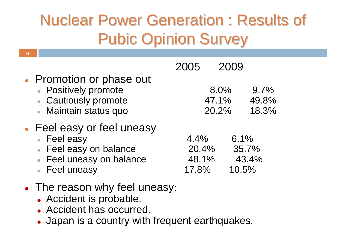## **Nuclear Power Generation : Results of Pubic Opinion Survey**

| • Promotion or phase out<br>• Positively promote<br>• Cautiously promote<br>• Maintain status quo                |                                 | 8.0%<br>47.1%<br>20.2% | 9.7%<br>49.8%<br>18.3%          |
|------------------------------------------------------------------------------------------------------------------|---------------------------------|------------------------|---------------------------------|
| • Feel easy or feel uneasy<br>• Feel easy<br>• Feel easy on balance<br>• Feel uneasy on balance<br>• Feel uneasy | 4.4%<br>20.4%<br>48.1%<br>17.8% |                        | 6.1%<br>35.7%<br>43.4%<br>10.5% |
| • The reason why feel uneasy:                                                                                    |                                 |                        |                                 |

• Accident is probable.

- Accident has occurred.
- Japan is a country with frequent earthquakes.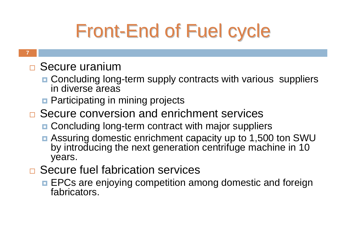# **Front-End of Fuel cycle**

#### **7**

### □ Secure uranium

- Concluding long-term supply contracts with various suppliers in diverse areas
- **<u>n</u>** Participating in mining projects
- □ Secure conversion and enrichment services
	- Concluding long-term contract with major suppliers
	- Assuring domestic enrichment capacity up to 1,500 ton SWU by introducing the next generation centrifuge machine in 10 years.
- □ Secure fuel fabrication services
	- **EPCs are enjoying competition among domestic and foreign** fabricators.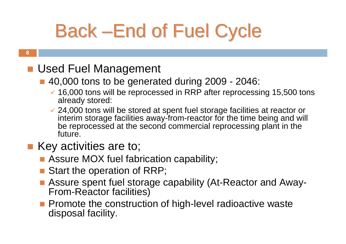# Back –End of Fuel Cycle

#### **8**

### **Used Fuel Management**

### ■ 40,000 tons to be generated during 2009 - 2046:

- $\checkmark$  16,000 tons will be reprocessed in RRP after reprocessing 15,500 tons already stored:
- $\checkmark$  24,000 tons will be stored at spent fuel storage facilities at reactor or interim storage facilities away-from-reactor for the time being and will be reprocessed at the second commercial reprocessing plant in the future.

### ■ Key activities are to;

- Assure MOX fuel fabrication capability;
- Start the operation of RRP;
- Assure spent fuel storage capability (At-Reactor and Away-From-Reactor facilities)
- **Promote the construction of high-level radioactive waste** disposal facility.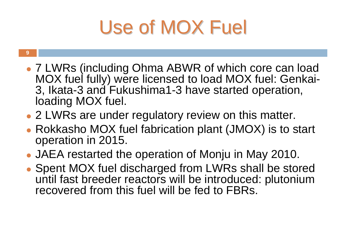# Use of MOX Fuel

- **9**
- 7 LWRs (including Ohma ABWR of which core can load MOX fuel fully) were licensed to load MOX fuel: Genkai-3, Ikata-3 and Fukushima1-3 have started operation, loading MOX fuel.
- 2 LWRs are under regulatory review on this matter.
- Rokkasho MOX fuel fabrication plant (JMOX) is to start operation in 2015.
- JAEA restarted the operation of Monju in May 2010.
- Spent MOX fuel discharged from LWRs shall be stored until fast breeder reactors will be introduced: plutonium recovered from this fuel will be fed to FBRs.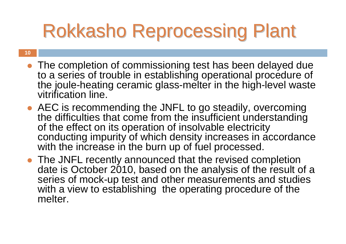# Rokkasho Reprocessing Plant

- The completion of commissioning test has been delayed due to a series of trouble in establishing operational procedure of the joule-heating ceramic glass-melter in the high-level waste vitrification line.
- AEC is recommending the JNFL to go steadily, overcoming the difficulties that come from the insufficient understanding of the effect on its operation of insolvable electricity conducting impurity of which density increases in accordance with the increase in the burn up of fuel processed.
- The JNFL recently announced that the revised completion date is October 2010, based on the analysis of the result of a series of mock-up test and other measurements and studies with a view to establishing the operating procedure of the melter.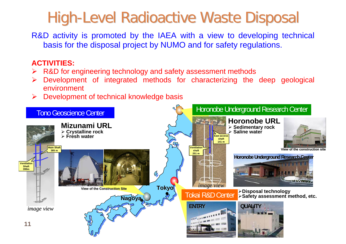## High-Level Radioactive Waste Disposal

R&D activity is promoted by the IAEA with a view to developing technical basis for the disposal project by NUMO and for safety regulations.

### **ACTIVITIES:**

- ¾ R&D for engineering technology and safety assessment methods
- ¾ Development of integrated methods for characterizing the deep geological environment
- ¾Development of technical knowledge basis

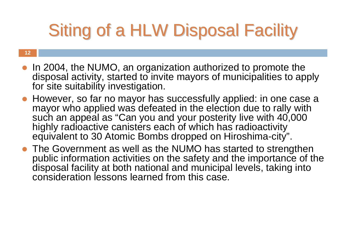# Siting of a HLW Disposal Facility

- In 2004, the NUMO, an organization authorized to promote the disposal activity, started to invite mayors of municipalities to apply for site suitability investigation.
- However, so far no mayor has successfully applied: in one case a mayor who applied was defeated in the election due to rally with such an appeal as "Can you and your posterity live with 40,000 highly radioactive canisters each of which has radioactivity equivalent to 30 Atomic Bombs dropped on Hiroshima-city".
- The Government as well as the NUMO has started to strengthen public information activities on the safety and the importance of the disposal facility at both national and municipal levels, taking into consideration lessons learned from this case.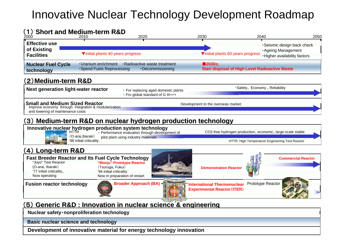### Innovative Nuclear Technology Development Roadmap

### (1) **Short and Medium-term R&D term R&D**

| 2000                                                     | 2010                                               | 2020                                              | 2030                              | 2040                                                                                   | 2050 |
|----------------------------------------------------------|----------------------------------------------------|---------------------------------------------------|-----------------------------------|----------------------------------------------------------------------------------------|------|
| <b>Effective use</b><br>of Existing<br><b>Facilities</b> |                                                    | ▼initial plants 40 years progress                 | Vinitial plants 60 years progress | Seismic design back check<br><b>Ageing Management</b><br>. Higher availability factors |      |
| <b>Nuclear Fuel Cycle</b><br>technology                  | • Uranium enrichment<br>• Spend Fuels Reprocessing | · Radioactive waste treatment<br>·Decommissioning | $\bullet$ 2030s;                  | <b>Start disposal of High Level Radioactive Waste</b>                                  |      |

### (2)**Medium-term R&D term R&D**

**Next generation light-water reactor**

・ For replacing aged domestic plants ・ Fro global standard of G III+++

#### **Small and Medium Sized Reactor**

**MaII and MedIUM SIZed Reactor**<br>Improve economy through integration & modularization **integration** integration and modular the overseas market

and lowering of maintenance costs

### (3) **Medium-term R&D on nuclear hydrogen production technology term R&D on nuclear hydrogen production technology**

#### **Innovative nuclear hydrogen production system technology**<br>HTTR HTTR HTTR Electromance evaluation through develop



(O-arai,Ibaraki) '98 initial criticality ・ Performance evaluation through development of pilot plant using industry materials

CO2-free hydrogen production、economic、large-scale stable

・Safety、 Economy 、Reliability

HTTR: High Temperature Engineering Test Reactor

### (4) **Long-term R&D term R&D**

**"Monju" Prototype Reactor** (Tsuruga, Fukui) '94 initial criticality Now in preparation of restart "Joyo" Test Reactor (O-arai, Ibaraki) '77 initial criticality、 Now operating **Fast Breeder Reactor and Its Fuel Cycle Technology**



**Fusion reactor technology Prototype Reactor <b>International Thermonuclear** Prototype Reactor **Experimental Reactor**(**ITER**)

**Demonstration Reactor**



**Commercial Reactor**

### (5) **Generic R&D : Innovation in nuclear science & engineering Generic R&D : Innovation in nuclear science & engineering**

**Nuclear safety**・**nonproliferation technology**

**13Basic nuclear science and technology** 

**Development of innovative material for energy technology innovation**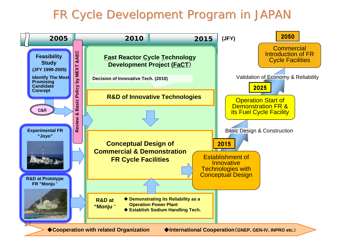### FR Cycle Development Program in JAPAN

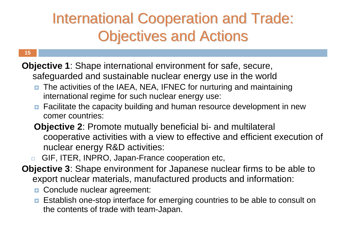## **International Cooperation and Trade: Objectives and Actions**

#### **15**

**Objective 1**: Shape international environment for safe, secure, safeguarded and sustainable nuclear energy use in the world

- $\Box$  The activities of the IAEA, NEA, IFNEC for nurturing and maintaining international regime for such nuclear energy use:
- **<u>E</u>** Facilitate the capacity building and human resource development in new comer countries:
- **Objective 2**: Promote mutually beneficial bi- and multilateral cooperative activities with a view to effective and efficient execution of nuclear energy R&D activities:
- $\Box$ GIF, ITER, INPRO, Japan-France cooperation etc,
- **Objective 3**: Shape environment for Japanese nuclear firms to be able to export nuclear materials, manufactured products and information:
	- **D** Conclude nuclear agreement:
	- **E** Establish one-stop interface for emerging countries to be able to consult on the contents of trade with team-Japan.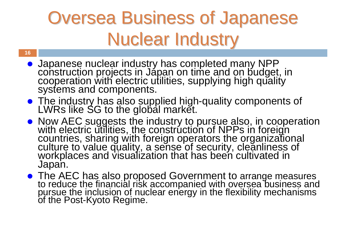# **Oversea Business of Japanese Nuclear Industry**

z Japanese nuclear industry has completed many NPP construction projects in Japan on time and on budget, in cooperation with electric utilities, supplying high quality systems and components.

- The industry has also supplied high-quality components of LWRs like SG to the global market.
- Now AEC suggests the industry to pursue also, in cooperation<br>with electric utilities, the construction of NPPs in foreign<br>countries, sharing with foreign operators the organizational<br>culture to value quality, a sense of
- The AEC has also proposed Government to arrange measures to reduce the financial risk accompanied with oversea business and pursue the inclusion of nuclear energy in the flexibility mechanisms of the Post-Kyoto Regime.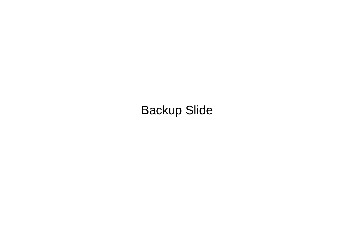Backup Slide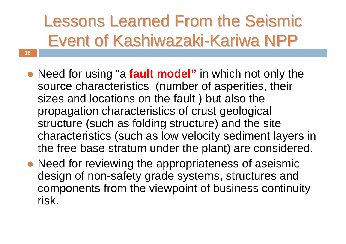# Lessons Learned From the Seismic Event of Kashiwazaki-Kariwa NPP

- Need for using "a **fault model**" in which not only the source characteristics (number of asperities, their sizes and locations on the fault ) but also the propagation characteristics of crust geological structure (such as folding structure) and the site characteristics (such as low velocity sediment layers in the free base stratum under the plant) are considered.
- Need for reviewing the appropriateness of aseismic design of non-safety grade systems, structures and components from the viewpoint of business continuity risk.